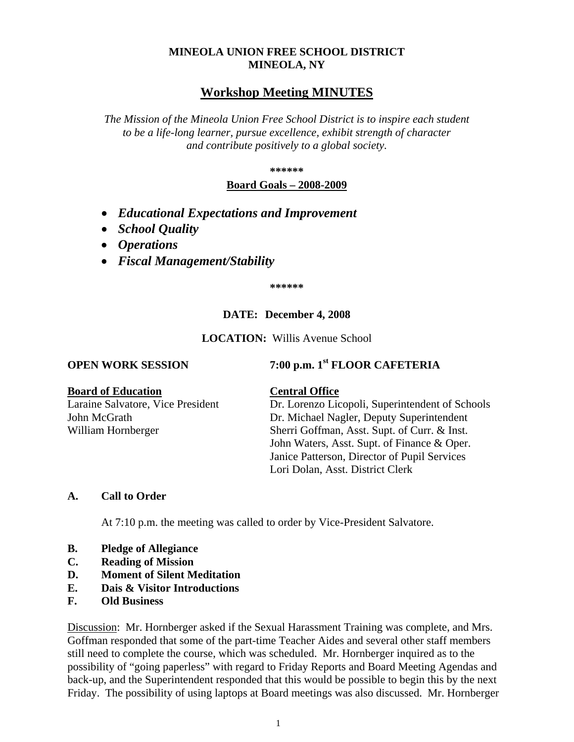# **MINEOLA UNION FREE SCHOOL DISTRICT MINEOLA, NY**

# **Workshop Meeting MINUTES**

*The Mission of the Mineola Union Free School District is to inspire each student to be a life-long learner, pursue excellence, exhibit strength of character and contribute positively to a global society.*

**\*\*\*\*\*\***

## **Board Goals – 2008-2009**

- *Educational Expectations and Improvement*
- *School Quality*
- *Operations*
- *Fiscal Management/Stability*

**\*\*\*\*\*\***

# **DATE: December 4, 2008**

**LOCATION:** Willis Avenue School

**OPEN WORK SESSION 7:00 p.m. 1st FLOOR CAFETERIA** 

### **Board of Education Central Office**

Laraine Salvatore, Vice President Dr. Lorenzo Licopoli, Superintendent of Schools John McGrath Dr. Michael Nagler, Deputy Superintendent William Hornberger Sherri Goffman, Asst. Supt. of Curr. & Inst. John Waters, Asst. Supt. of Finance & Oper. Janice Patterson, Director of Pupil Services Lori Dolan, Asst. District Clerk

## **A. Call to Order**

At 7:10 p.m. the meeting was called to order by Vice-President Salvatore.

- **B. Pledge of Allegiance**
- **C. Reading of Mission**
- **D. Moment of Silent Meditation**
- **E. Dais & Visitor Introductions**
- **F. Old Business**

Discussion: Mr. Hornberger asked if the Sexual Harassment Training was complete, and Mrs. Goffman responded that some of the part-time Teacher Aides and several other staff members still need to complete the course, which was scheduled. Mr. Hornberger inquired as to the possibility of "going paperless" with regard to Friday Reports and Board Meeting Agendas and back-up, and the Superintendent responded that this would be possible to begin this by the next Friday. The possibility of using laptops at Board meetings was also discussed. Mr. Hornberger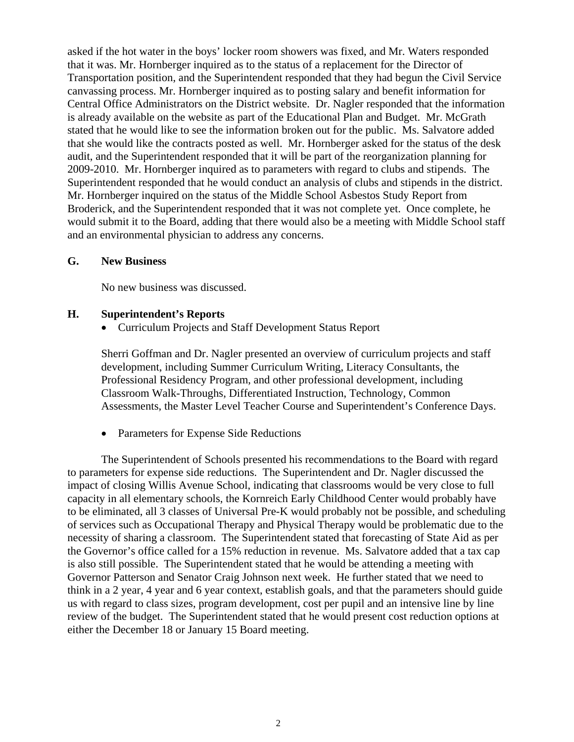asked if the hot water in the boys' locker room showers was fixed, and Mr. Waters responded that it was. Mr. Hornberger inquired as to the status of a replacement for the Director of Transportation position, and the Superintendent responded that they had begun the Civil Service canvassing process. Mr. Hornberger inquired as to posting salary and benefit information for Central Office Administrators on the District website. Dr. Nagler responded that the information is already available on the website as part of the Educational Plan and Budget. Mr. McGrath stated that he would like to see the information broken out for the public. Ms. Salvatore added that she would like the contracts posted as well. Mr. Hornberger asked for the status of the desk audit, and the Superintendent responded that it will be part of the reorganization planning for 2009-2010. Mr. Hornberger inquired as to parameters with regard to clubs and stipends. The Superintendent responded that he would conduct an analysis of clubs and stipends in the district. Mr. Hornberger inquired on the status of the Middle School Asbestos Study Report from Broderick, and the Superintendent responded that it was not complete yet. Once complete, he would submit it to the Board, adding that there would also be a meeting with Middle School staff and an environmental physician to address any concerns.

### **G. New Business**

No new business was discussed.

### **H. Superintendent's Reports**

• Curriculum Projects and Staff Development Status Report

Sherri Goffman and Dr. Nagler presented an overview of curriculum projects and staff development, including Summer Curriculum Writing, Literacy Consultants, the Professional Residency Program, and other professional development, including Classroom Walk-Throughs, Differentiated Instruction, Technology, Common Assessments, the Master Level Teacher Course and Superintendent's Conference Days.

• Parameters for Expense Side Reductions

The Superintendent of Schools presented his recommendations to the Board with regard to parameters for expense side reductions. The Superintendent and Dr. Nagler discussed the impact of closing Willis Avenue School, indicating that classrooms would be very close to full capacity in all elementary schools, the Kornreich Early Childhood Center would probably have to be eliminated, all 3 classes of Universal Pre-K would probably not be possible, and scheduling of services such as Occupational Therapy and Physical Therapy would be problematic due to the necessity of sharing a classroom. The Superintendent stated that forecasting of State Aid as per the Governor's office called for a 15% reduction in revenue. Ms. Salvatore added that a tax cap is also still possible. The Superintendent stated that he would be attending a meeting with Governor Patterson and Senator Craig Johnson next week. He further stated that we need to think in a 2 year, 4 year and 6 year context, establish goals, and that the parameters should guide us with regard to class sizes, program development, cost per pupil and an intensive line by line review of the budget. The Superintendent stated that he would present cost reduction options at either the December 18 or January 15 Board meeting.